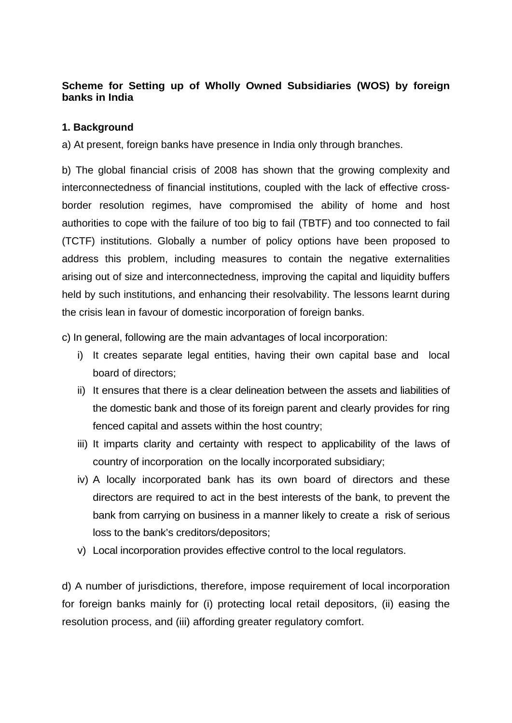# **Scheme for Setting up of Wholly Owned Subsidiaries (WOS) by foreign banks in India**

# **1. Background**

a) At present, foreign banks have presence in India only through branches.

b) The global financial crisis of 2008 has shown that the growing complexity and interconnectedness of financial institutions, coupled with the lack of effective crossborder resolution regimes, have compromised the ability of home and host authorities to cope with the failure of too big to fail (TBTF) and too connected to fail (TCTF) institutions. Globally a number of policy options have been proposed to address this problem, including measures to contain the negative externalities arising out of size and interconnectedness, improving the capital and liquidity buffers held by such institutions, and enhancing their resolvability. The lessons learnt during the crisis lean in favour of domestic incorporation of foreign banks.

c) In general, following are the main advantages of local incorporation:

- i) It creates separate legal entities, having their own capital base and local board of directors;
- ii) It ensures that there is a clear delineation between the assets and liabilities of the domestic bank and those of its foreign parent and clearly provides for ring fenced capital and assets within the host country;
- iii) It imparts clarity and certainty with respect to applicability of the laws of country of incorporation on the locally incorporated subsidiary;
- iv) A locally incorporated bank has its own board of directors and these directors are required to act in the best interests of the bank, to prevent the bank from carrying on business in a manner likely to create a risk of serious loss to the bank's creditors/depositors;
- v) Local incorporation provides effective control to the local regulators.

d) A number of jurisdictions, therefore, impose requirement of local incorporation for foreign banks mainly for (i) protecting local retail depositors, (ii) easing the resolution process, and (iii) affording greater regulatory comfort.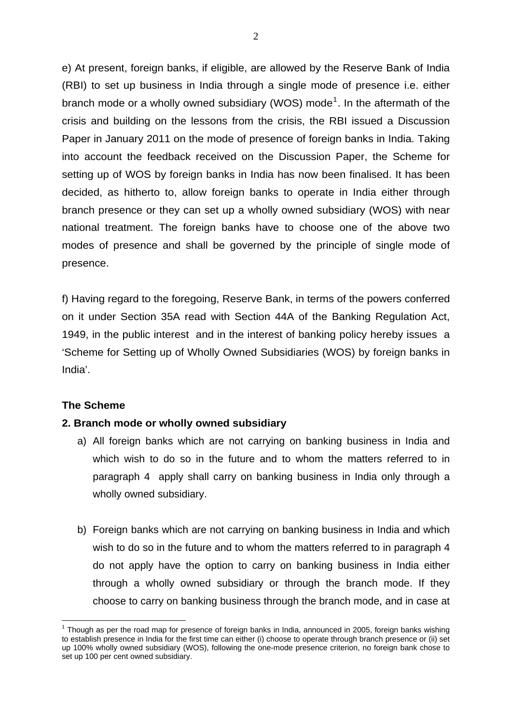e) At present, foreign banks, if eligible, are allowed by the Reserve Bank of India (RBI) to set up business in India through a single mode of presence i.e. either branch mode or a wholly owned subsidiary (WOS) mode<sup>[1](#page-1-0)</sup>. In the aftermath of the crisis and building on the lessons from the crisis, the RBI issued a Discussion Paper in January 2011 on the mode of presence of foreign banks in India. Taking into account the feedback received on the Discussion Paper, the Scheme for setting up of WOS by foreign banks in India has now been finalised. It has been decided, as hitherto to, allow foreign banks to operate in India either through branch presence or they can set up a wholly owned subsidiary (WOS) with near national treatment. The foreign banks have to choose one of the above two modes of presence and shall be governed by the principle of single mode of presence.

f) Having regard to the foregoing, Reserve Bank, in terms of the powers conferred on it under Section 35A read with Section 44A of the Banking Regulation Act, 1949, in the public interest and in the interest of banking policy hereby issues a 'Scheme for Setting up of Wholly Owned Subsidiaries (WOS) by foreign banks in India'.

# **The Scheme**

<u>.</u>

#### **2. Branch mode or wholly owned subsidiary**

- a) All foreign banks which are not carrying on banking business in India and which wish to do so in the future and to whom the matters referred to in paragraph 4 apply shall carry on banking business in India only through a wholly owned subsidiary.
- b) Foreign banks which are not carrying on banking business in India and which wish to do so in the future and to whom the matters referred to in paragraph 4 do not apply have the option to carry on banking business in India either through a wholly owned subsidiary or through the branch mode. If they choose to carry on banking business through the branch mode, and in case at

<span id="page-1-0"></span> $1$  Though as per the road map for presence of foreign banks in India, announced in 2005, foreign banks wishing to establish presence in India for the first time can either (i) choose to operate through branch presence or (ii) set up 100% wholly owned subsidiary (WOS), following the one-mode presence criterion, no foreign bank chose to set up 100 per cent owned subsidiary.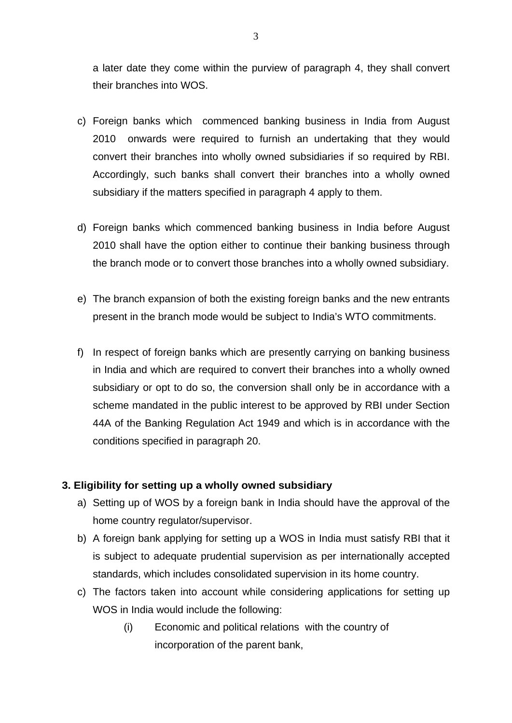a later date they come within the purview of paragraph 4, they shall convert their branches into WOS.

- c) Foreign banks which commenced banking business in India from August 2010 onwards were required to furnish an undertaking that they would convert their branches into wholly owned subsidiaries if so required by RBI. Accordingly, such banks shall convert their branches into a wholly owned subsidiary if the matters specified in paragraph 4 apply to them.
- d) Foreign banks which commenced banking business in India before August 2010 shall have the option either to continue their banking business through the branch mode or to convert those branches into a wholly owned subsidiary.
- e) The branch expansion of both the existing foreign banks and the new entrants present in the branch mode would be subject to India's WTO commitments.
- f) In respect of foreign banks which are presently carrying on banking business in India and which are required to convert their branches into a wholly owned subsidiary or opt to do so, the conversion shall only be in accordance with a scheme mandated in the public interest to be approved by RBI under Section 44A of the Banking Regulation Act 1949 and which is in accordance with the conditions specified in paragraph 20.

# **3. Eligibility for setting up a wholly owned subsidiary**

- a) Setting up of WOS by a foreign bank in India should have the approval of the home country regulator/supervisor.
- b) A foreign bank applying for setting up a WOS in India must satisfy RBI that it is subject to adequate prudential supervision as per internationally accepted standards, which includes consolidated supervision in its home country.
- c) The factors taken into account while considering applications for setting up WOS in India would include the following:
	- (i) Economic and political relations with the country of incorporation of the parent bank,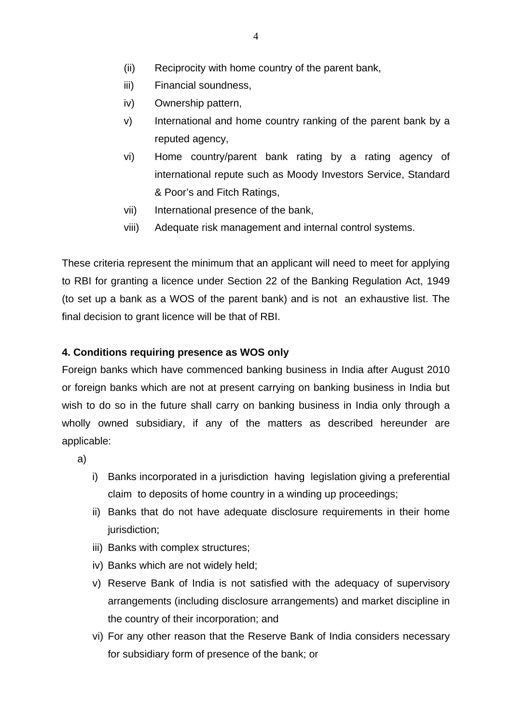- (ii) Reciprocity with home country of the parent bank,
- iii) Financial soundness,
- iv) Ownership pattern,
- v) International and home country ranking of the parent bank by a reputed agency,
- vi) Home country/parent bank rating by a rating agency of international repute such as Moody Investors Service, Standard & Poor's and Fitch Ratings,
- vii) International presence of the bank,
- viii) Adequate risk management and internal control systems.

These criteria represent the minimum that an applicant will need to meet for applying to RBI for granting a licence under Section 22 of the Banking Regulation Act, 1949 (to set up a bank as a WOS of the parent bank) and is not an exhaustive list. The final decision to grant licence will be that of RBI.

# **4. Conditions requiring presence as WOS only**

Foreign banks which have commenced banking business in India after August 2010 or foreign banks which are not at present carrying on banking business in India but wish to do so in the future shall carry on banking business in India only through a wholly owned subsidiary, if any of the matters as described hereunder are applicable:

a)

- i) Banks incorporated in a jurisdiction having legislation giving a preferential claim to deposits of home country in a winding up proceedings;
- ii) Banks that do not have adequate disclosure requirements in their home jurisdiction;
- iii) Banks with complex structures;
- iv) Banks which are not widely held;
- v) Reserve Bank of India is not satisfied with the adequacy of supervisory arrangements (including disclosure arrangements) and market discipline in the country of their incorporation; and
- vi) For any other reason that the Reserve Bank of India considers necessary for subsidiary form of presence of the bank; or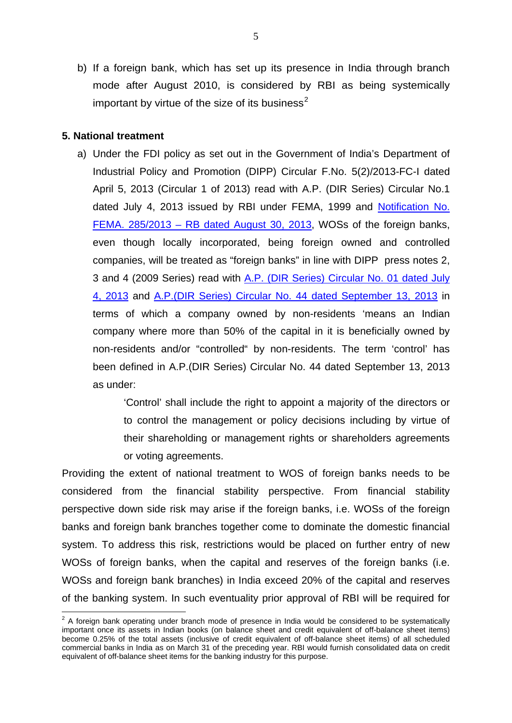b) If a foreign bank, which has set up its presence in India through branch mode after August 2010, is considered by RBI as being systemically important by virtue of the size of its business<sup>[2](#page-4-0)</sup>

#### **5. National treatment**

a) Under the FDI policy as set out in the Government of India's Department of Industrial Policy and Promotion (DIPP) Circular F.No. 5(2)/2013-FC-I dated April 5, 2013 (Circular 1 of 2013) read with A.P. (DIR Series) Circular No.1 dated July 4, 2013 issued by RBI under FEMA, 1999 and [Notification No.](http://rbi.org.in/scripts/NotificationUser.aspx?Id=8412&Mode=0)  [FEMA. 285/2013 – RB dated August 30, 2013](http://rbi.org.in/scripts/NotificationUser.aspx?Id=8412&Mode=0), WOSs of the foreign banks, even though locally incorporated, being foreign owned and controlled companies, will be treated as "foreign banks" in line with DIPP press notes 2, 3 and 4 (2009 Series) read with [A.P. \(DIR Series\) Circular No. 01 dated July](http://rbi.org.in/scripts/NotificationUser.aspx?Id=8209&Mode=0)  [4, 2013](http://rbi.org.in/scripts/NotificationUser.aspx?Id=8209&Mode=0) and [A.P.\(DIR Series\) Circular No. 44 dated September 13, 2013](http://rbi.org.in/scripts/NotificationUser.aspx?Id=8413&Mode=0) in terms of which a company owned by non-residents 'means an Indian company where more than 50% of the capital in it is beneficially owned by non-residents and/or "controlled" by non-residents. The term 'control' has been defined in A.P.(DIR Series) Circular No. 44 dated September 13, 2013 as under:

> 'Control' shall include the right to appoint a majority of the directors or to control the management or policy decisions including by virtue of their shareholding or management rights or shareholders agreements or voting agreements.

Providing the extent of national treatment to WOS of foreign banks needs to be considered from the financial stability perspective. From financial stability perspective down side risk may arise if the foreign banks, i.e. WOSs of the foreign banks and foreign bank branches together come to dominate the domestic financial system. To address this risk, restrictions would be placed on further entry of new WOSs of foreign banks, when the capital and reserves of the foreign banks (i.e. WOSs and foreign bank branches) in India exceed 20% of the capital and reserves of the banking system. In such eventuality prior approval of RBI will be required for

<span id="page-4-0"></span> 2 A foreign bank operating under branch mode of presence in India would be considered to be systematically important once its assets in Indian books (on balance sheet and credit equivalent of off-balance sheet items) become 0.25% of the total assets (inclusive of credit equivalent of off-balance sheet items) of all scheduled commercial banks in India as on March 31 of the preceding year. RBI would furnish consolidated data on credit equivalent of off-balance sheet items for the banking industry for this purpose.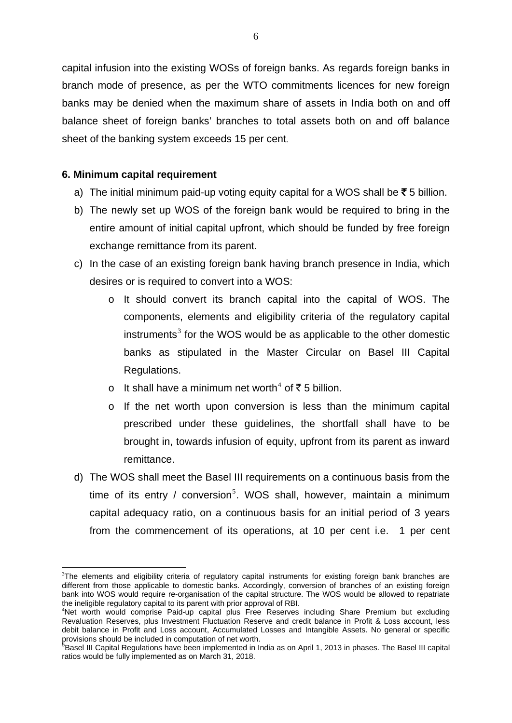capital infusion into the existing WOSs of foreign banks. As regards foreign banks in branch mode of presence, as per the WTO commitments licences for new foreign banks may be denied when the maximum share of assets in India both on and off balance sheet of foreign banks' branches to total assets both on and off balance sheet of the banking system exceeds 15 per cent.

### **6. Minimum capital requirement**

1

- a) The initial minimum paid-up voting equity capital for a WOS shall be  $\bar{\mathfrak{g}}$  5 billion.
- b) The newly set up WOS of the foreign bank would be required to bring in the entire amount of initial capital upfront, which should be funded by free foreign exchange remittance from its parent.
- c) In the case of an existing foreign bank having branch presence in India, which desires or is required to convert into a WOS:
	- o It should convert its branch capital into the capital of WOS. The components, elements and eligibility criteria of the regulatory capital instruments<sup>[3](#page-5-0)</sup> for the WOS would be as applicable to the other domestic banks as stipulated in the Master Circular on Basel III Capital Regulations.
	- o It shall have a minimum net worth<sup>[4](#page-5-1)</sup> of ₹5 billion.
	- o If the net worth upon conversion is less than the minimum capital prescribed under these guidelines, the shortfall shall have to be brought in, towards infusion of equity, upfront from its parent as inward remittance.
- d) The WOS shall meet the Basel III requirements on a continuous basis from the time of its entry / conversion<sup>[5](#page-5-2)</sup>. WOS shall, however, maintain a minimum capital adequacy ratio, on a continuous basis for an initial period of 3 years from the commencement of its operations, at 10 per cent i.e. 1 per cent

<span id="page-5-0"></span><sup>&</sup>lt;sup>3</sup>The elements and eligibility criteria of regulatory capital instruments for existing foreign bank branches are different from those applicable to domestic banks. Accordingly, conversion of branches of an existing foreign bank into WOS would require re-organisation of the capital structure. The WOS would be allowed to repatriate the ineligible regulatory capital to its parent with prior approval of RBI. <sup>4</sup>

<span id="page-5-1"></span><sup>&</sup>lt;sup>4</sup>Net worth would comprise Paid-up capital plus Free Reserves including Share Premium but excluding Revaluation Reserves, plus Investment Fluctuation Reserve and credit balance in Profit & Loss account, less debit balance in Profit and Loss account, Accumulated Losses and Intangible Assets. No general or specific

<span id="page-5-2"></span>provisions should be included in computation of net worth.<br><sup>5</sup>Basel III Capital Regulations have been implemented in India as on April 1, 2013 in phases. The Basel III capital ratios would be fully implemented as on March 31, 2018.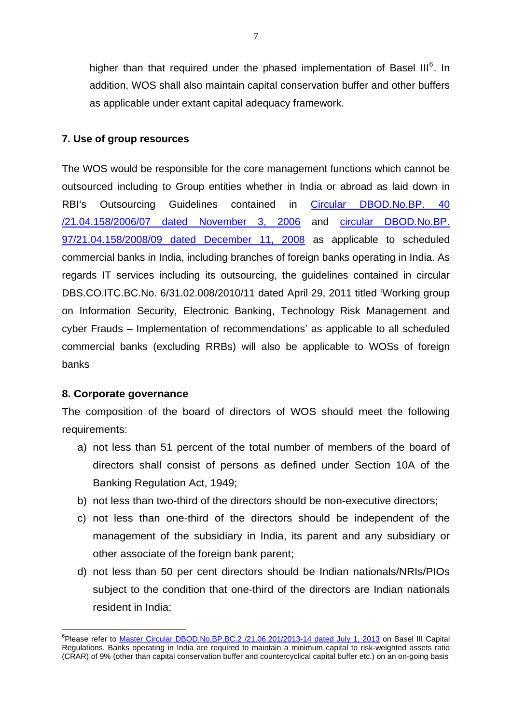higher than that required under the phased implementation of Basel III $^6$  $^6$ . In addition, WOS shall also maintain capital conservation buffer and other buffers as applicable under extant capital adequacy framework.

### **7. Use of group resources**

The WOS would be responsible for the core management functions which cannot be outsourced including to Group entities whether in India or abroad as laid down in RBI's Outsourcing Guidelines contained in [Circular DBOD.No.BP. 40](http://rbi.org.in/scripts/NotificationUser.aspx?Id=3148&Mode=0)  [/21.04.158/2006/07 dated November 3, 2006](http://rbi.org.in/scripts/NotificationUser.aspx?Id=3148&Mode=0) and [circular DBOD.No.BP.](http://rbi.org.in/scripts/NotificationUser.aspx?Id=4709&Mode=0)  [97/21.04.158/2008/09 dated December 11, 2008](http://rbi.org.in/scripts/NotificationUser.aspx?Id=4709&Mode=0) as applicable to scheduled commercial banks in India, including branches of foreign banks operating in India. As regards IT services including its outsourcing, the guidelines contained in circular DBS.CO.ITC.BC.No. 6/31.02.008/2010/11 dated April 29, 2011 titled 'Working group on Information Security, Electronic Banking, Technology Risk Management and cyber Frauds – Implementation of recommendations' as applicable to all scheduled commercial banks (excluding RRBs) will also be applicable to WOSs of foreign banks

#### **8. Corporate governance**

1

The composition of the board of directors of WOS should meet the following requirements:

- a) not less than 51 percent of the total number of members of the board of directors shall consist of persons as defined under Section 10A of the Banking Regulation Act, 1949;
- b) not less than two-third of the directors should be non-executive directors;
- c) not less than one-third of the directors should be independent of the management of the subsidiary in India, its parent and any subsidiary or other associate of the foreign bank parent;
- d) not less than 50 per cent directors should be Indian nationals/NRIs/PIOs subject to the condition that one-third of the directors are Indian nationals resident in India;

<span id="page-6-0"></span><sup>&</sup>lt;sup>6</sup>Please refer to [Master Circular DBOD.No.BP.BC.2 /21.06.201/2013-14 dated July 1, 2013](http://www.rbi.org.in/scripts/NotificationUser.aspx?Id=8142&Mode=0) on Basel III Capital Regulations. Banks operating in India are required to maintain a minimum capital to risk-weighted assets ratio (CRAR) of 9% (other than capital conservation buffer and countercyclical capital buffer etc.) on an on-going basis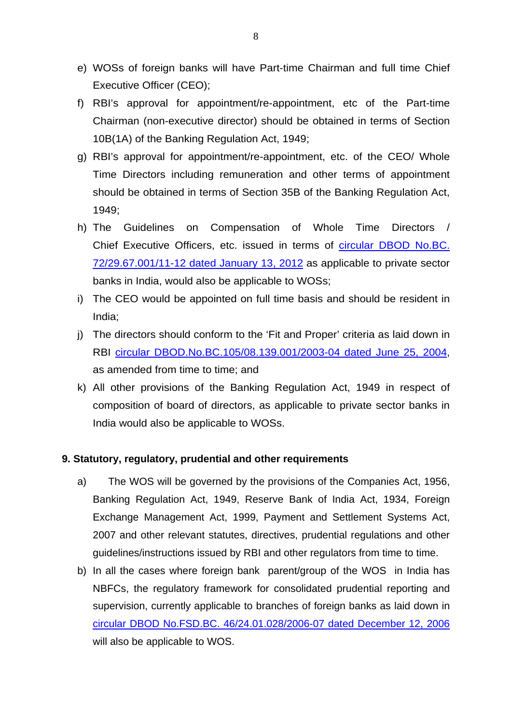- e) WOSs of foreign banks will have Part-time Chairman and full time Chief Executive Officer (CEO);
- f) RBI's approval for appointment/re-appointment, etc of the Part-time Chairman (non-executive director) should be obtained in terms of Section 10B(1A) of the Banking Regulation Act, 1949;
- g) RBI's approval for appointment/re-appointment, etc. of the CEO/ Whole Time Directors including remuneration and other terms of appointment should be obtained in terms of Section 35B of the Banking Regulation Act, 1949;
- h) The Guidelines on Compensation of Whole Time Directors / Chief Executive Officers, etc. issued in terms of [circular DBOD No.BC.](http://rbi.org.in/scripts/NotificationUser.aspx?Id=6938&Mode=0)  [72/29.67.001/11-12 dated January 13, 2012](http://rbi.org.in/scripts/NotificationUser.aspx?Id=6938&Mode=0) as applicable to private sector banks in India, would also be applicable to WOSs;
- i) The CEO would be appointed on full time basis and should be resident in India;
- j) The directors should conform to the 'Fit and Proper' criteria as laid down in RBI [circular DBOD.No.BC.105/08.139.001/2003-04 dated June 25, 2004,](http://rbi.org.in/scripts/NotificationUser.aspx?Id=1727&Mode=0) as amended from time to time; and
- k) All other provisions of the Banking Regulation Act, 1949 in respect of composition of board of directors, as applicable to private sector banks in India would also be applicable to WOSs.

### **9. Statutory, regulatory, prudential and other requirements**

- a) The WOS will be governed by the provisions of the Companies Act, 1956, Banking Regulation Act, 1949, Reserve Bank of India Act, 1934, Foreign Exchange Management Act, 1999, Payment and Settlement Systems Act, 2007 and other relevant statutes, directives, prudential regulations and other guidelines/instructions issued by RBI and other regulators from time to time.
- b) In all the cases where foreign bank parent/group of the WOS in India has NBFCs, the regulatory framework for consolidated prudential reporting and supervision, currently applicable to branches of foreign banks as laid down in [circular DBOD No.FSD.BC. 46/24.01.028/2006-07 dated December 12, 2006](http://rbi.org.in/scripts/NotificationUser.aspx?Id=3206&Mode=0) will also be applicable to WOS.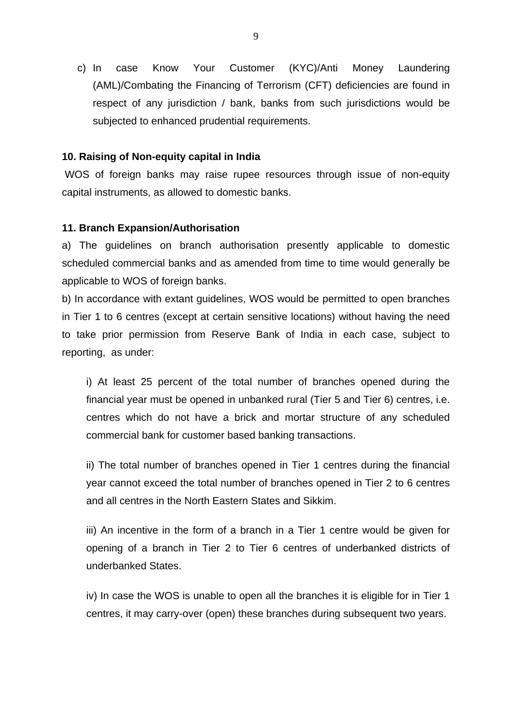c) In case Know Your Customer (KYC)/Anti Money Laundering (AML)/Combating the Financing of Terrorism (CFT) deficiencies are found in respect of any jurisdiction / bank, banks from such jurisdictions would be subjected to enhanced prudential requirements.

# **10. Raising of Non-equity capital in India**

WOS of foreign banks may raise rupee resources through issue of non-equity capital instruments, as allowed to domestic banks.

### **11. Branch Expansion/Authorisation**

a) The guidelines on branch authorisation presently applicable to domestic scheduled commercial banks and as amended from time to time would generally be applicable to WOS of foreign banks.

b) In accordance with extant guidelines, WOS would be permitted to open branches in Tier 1 to 6 centres (except at certain sensitive locations) without having the need to take prior permission from Reserve Bank of India in each case, subject to reporting, as under:

i) At least 25 percent of the total number of branches opened during the financial year must be opened in unbanked rural (Tier 5 and Tier 6) centres, i.e. centres which do not have a brick and mortar structure of any scheduled commercial bank for customer based banking transactions.

ii) The total number of branches opened in Tier 1 centres during the financial year cannot exceed the total number of branches opened in Tier 2 to 6 centres and all centres in the North Eastern States and Sikkim.

iii) An incentive in the form of a branch in a Tier 1 centre would be given for opening of a branch in Tier 2 to Tier 6 centres of underbanked districts of underbanked States.

iv) In case the WOS is unable to open all the branches it is eligible for in Tier 1 centres, it may carry-over (open) these branches during subsequent two years.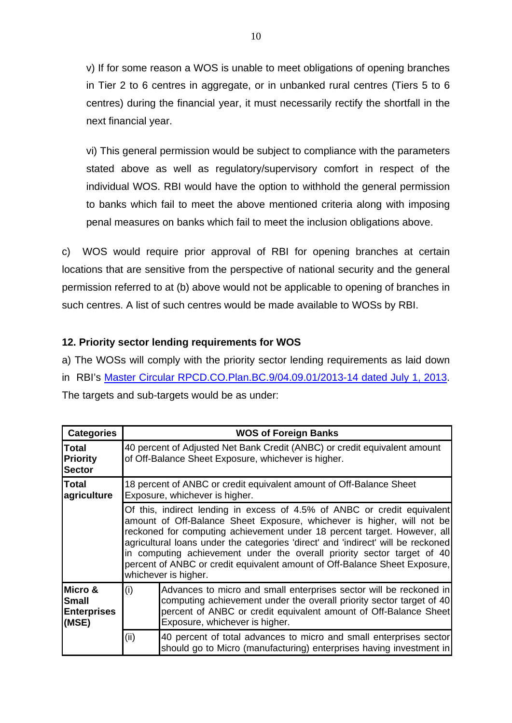v) If for some reason a WOS is unable to meet obligations of opening branches in Tier 2 to 6 centres in aggregate, or in unbanked rural centres (Tiers 5 to 6 centres) during the financial year, it must necessarily rectify the shortfall in the next financial year.

vi) This general permission would be subject to compliance with the parameters stated above as well as regulatory/supervisory comfort in respect of the individual WOS. RBI would have the option to withhold the general permission to banks which fail to meet the above mentioned criteria along with imposing penal measures on banks which fail to meet the inclusion obligations above.

c) WOS would require prior approval of RBI for opening branches at certain locations that are sensitive from the perspective of national security and the general permission referred to at (b) above would not be applicable to opening of branches in such centres. A list of such centres would be made available to WOSs by RBI.

# **12. Priority sector lending requirements for WOS**

a) The WOSs will comply with the priority sector lending requirements as laid down in RBI's [Master Circular RPCD.CO.Plan.BC.9/04.09.01/2013-14 dated July 1, 2013.](http://rbi.org.in/scripts/NotificationUser.aspx?Id=8191&Mode=0) The targets and sub-targets would be as under:

| <b>Categories</b>                                      | <b>WOS of Foreign Banks</b>                                                                                                      |                                                                                                                                                                                                                                                                                                                                                                                                                                                                                                     |  |  |
|--------------------------------------------------------|----------------------------------------------------------------------------------------------------------------------------------|-----------------------------------------------------------------------------------------------------------------------------------------------------------------------------------------------------------------------------------------------------------------------------------------------------------------------------------------------------------------------------------------------------------------------------------------------------------------------------------------------------|--|--|
| Total<br><b>Priority</b><br><b>Sector</b>              | 40 percent of Adjusted Net Bank Credit (ANBC) or credit equivalent amount<br>of Off-Balance Sheet Exposure, whichever is higher. |                                                                                                                                                                                                                                                                                                                                                                                                                                                                                                     |  |  |
| Total<br>agriculture                                   | 18 percent of ANBC or credit equivalent amount of Off-Balance Sheet<br>Exposure, whichever is higher.                            |                                                                                                                                                                                                                                                                                                                                                                                                                                                                                                     |  |  |
|                                                        |                                                                                                                                  | Of this, indirect lending in excess of 4.5% of ANBC or credit equivalent<br>amount of Off-Balance Sheet Exposure, whichever is higher, will not be<br>reckoned for computing achievement under 18 percent target. However, all<br>agricultural loans under the categories 'direct' and 'indirect' will be reckoned<br>in computing achievement under the overall priority sector target of 40<br>percent of ANBC or credit equivalent amount of Off-Balance Sheet Exposure,<br>whichever is higher. |  |  |
| Micro &<br><b>Small</b><br><b>Enterprises</b><br>(MSE) | (i)                                                                                                                              | Advances to micro and small enterprises sector will be reckoned in<br>computing achievement under the overall priority sector target of 40<br>percent of ANBC or credit equivalent amount of Off-Balance Sheet<br>Exposure, whichever is higher.                                                                                                                                                                                                                                                    |  |  |
|                                                        | (ii)                                                                                                                             | 40 percent of total advances to micro and small enterprises sector<br>should go to Micro (manufacturing) enterprises having investment in                                                                                                                                                                                                                                                                                                                                                           |  |  |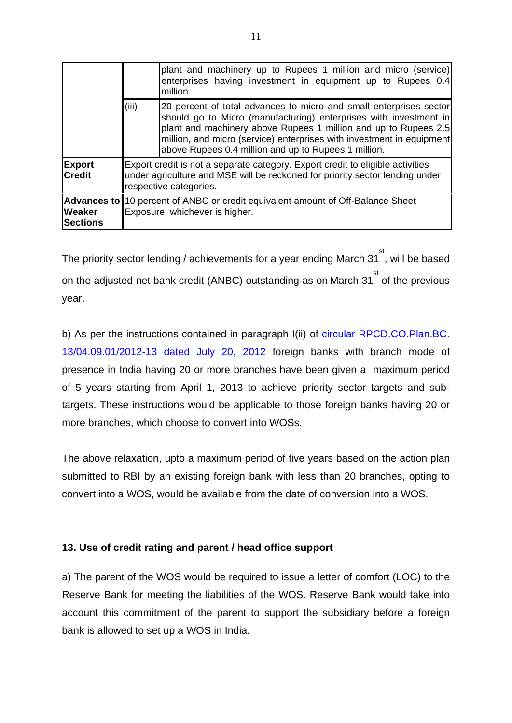|                                |                                                                                                                                                                                          | plant and machinery up to Rupees 1 million and micro (service)<br>enterprises having investment in equipment up to Rupees 0.4<br>million.                                                                                                                                                                                                   |
|--------------------------------|------------------------------------------------------------------------------------------------------------------------------------------------------------------------------------------|---------------------------------------------------------------------------------------------------------------------------------------------------------------------------------------------------------------------------------------------------------------------------------------------------------------------------------------------|
|                                | (iii)                                                                                                                                                                                    | 20 percent of total advances to micro and small enterprises sector<br>should go to Micro (manufacturing) enterprises with investment in<br>plant and machinery above Rupees 1 million and up to Rupees 2.5<br>million, and micro (service) enterprises with investment in equipment<br>above Rupees 0.4 million and up to Rupees 1 million. |
| <b>Export</b><br><b>Credit</b> | Export credit is not a separate category. Export credit to eligible activities<br>under agriculture and MSE will be reckoned for priority sector lending under<br>respective categories. |                                                                                                                                                                                                                                                                                                                                             |
| Weaker<br><b>Sections</b>      | Advances to  10 percent of ANBC or credit equivalent amount of Off-Balance Sheet<br>Exposure, whichever is higher.                                                                       |                                                                                                                                                                                                                                                                                                                                             |

The priority sector lending / achievements for a year ending March 31  $\overset{\text{st}}{\,}$ , will be based on the adjusted net bank credit (ANBC) outstanding as on March 31<sup>st</sup> of the previous year.

b) As per the instructions contained in paragraph I(ii) of [circular RPCD.CO.Plan.BC.](http://rbi.org.in/scripts/NotificationUser.aspx?Id=7460&Mode=0)  [13/04.09.01/2012-13 dated July 20, 2012](http://rbi.org.in/scripts/NotificationUser.aspx?Id=7460&Mode=0) foreign banks with branch mode of presence in India having 20 or more branches have been given a maximum period of 5 years starting from April 1, 2013 to achieve priority sector targets and subtargets. These instructions would be applicable to those foreign banks having 20 or more branches, which choose to convert into WOSs.

The above relaxation, upto a maximum period of five years based on the action plan submitted to RBI by an existing foreign bank with less than 20 branches, opting to convert into a WOS, would be available from the date of conversion into a WOS.

# **13. Use of credit rating and parent / head office support**

a) The parent of the WOS would be required to issue a letter of comfort (LOC) to the Reserve Bank for meeting the liabilities of the WOS. Reserve Bank would take into account this commitment of the parent to support the subsidiary before a foreign bank is allowed to set up a WOS in India.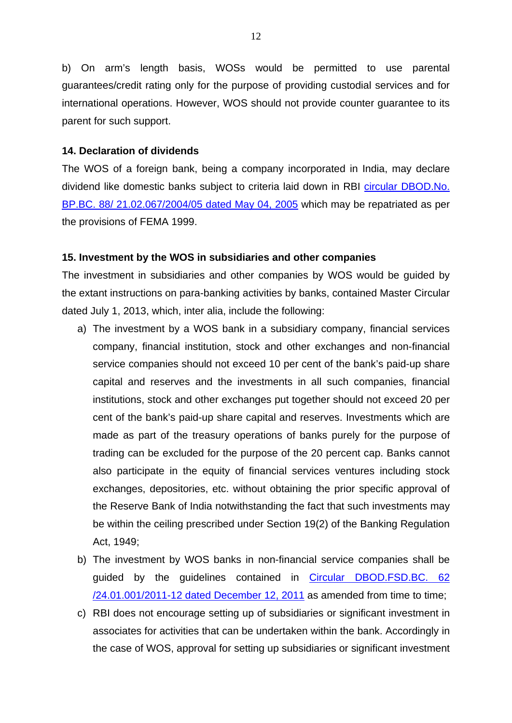b) On arm's length basis, WOSs would be permitted to use parental guarantees/credit rating only for the purpose of providing custodial services and for international operations. However, WOS should not provide counter guarantee to its parent for such support.

### **14. Declaration of dividends**

The WOS of a foreign bank, being a company incorporated in India, may declare dividend like domestic banks subject to criteria laid down in RBI [circular DBOD.No.](http://rbi.org.in/scripts/NotificationUser.aspx?Id=2240&Mode=0)  [BP.BC. 88/ 21.02.067/2004/05 dated May 04, 2005](http://rbi.org.in/scripts/NotificationUser.aspx?Id=2240&Mode=0) which may be repatriated as per the provisions of FEMA 1999.

### **15. Investment by the WOS in subsidiaries and other companies**

The investment in subsidiaries and other companies by WOS would be guided by the extant instructions on para-banking activities by banks, contained Master Circular dated July 1, 2013, which, inter alia, include the following:

- a) The investment by a WOS bank in a subsidiary company, financial services company, financial institution, stock and other exchanges and non-financial service companies should not exceed 10 per cent of the bank's paid-up share capital and reserves and the investments in all such companies, financial institutions, stock and other exchanges put together should not exceed 20 per cent of the bank's paid-up share capital and reserves. Investments which are made as part of the treasury operations of banks purely for the purpose of trading can be excluded for the purpose of the 20 percent cap. Banks cannot also participate in the equity of financial services ventures including stock exchanges, depositories, etc. without obtaining the prior specific approval of the Reserve Bank of India notwithstanding the fact that such investments may be within the ceiling prescribed under Section 19(2) of the Banking Regulation Act, 1949;
- b) The investment by WOS banks in non-financial service companies shall be guided by the guidelines contained in [Circular DBOD.FSD.BC. 62](http://rbi.org.in/scripts/NotificationUser.aspx?Id=6869&Mode=0)  [/24.01.001/2011-12 dated December 12, 2011](http://rbi.org.in/scripts/NotificationUser.aspx?Id=6869&Mode=0) as amended from time to time;
- c) RBI does not encourage setting up of subsidiaries or significant investment in associates for activities that can be undertaken within the bank. Accordingly in the case of WOS, approval for setting up subsidiaries or significant investment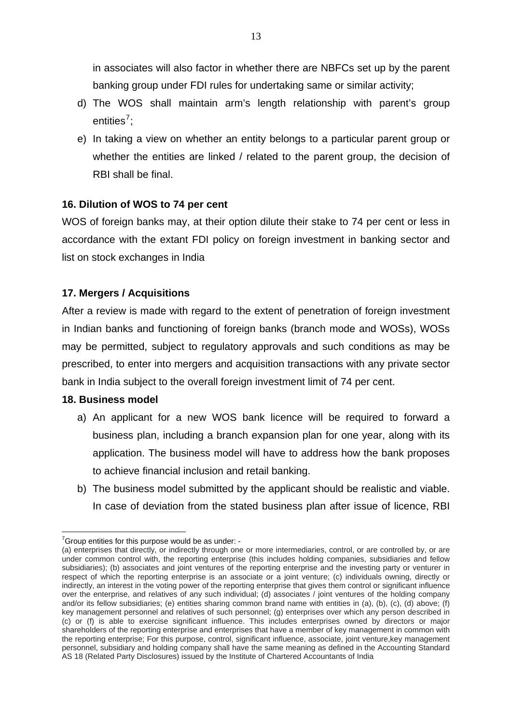in associates will also factor in whether there are NBFCs set up by the parent banking group under FDI rules for undertaking same or similar activity;

- d) The WOS shall maintain arm's length relationship with parent's group entities<sup>[7](#page-12-0)</sup>;
- e) In taking a view on whether an entity belongs to a particular parent group or whether the entities are linked / related to the parent group, the decision of RBI shall be final.

# **16. Dilution of WOS to 74 per cent**

WOS of foreign banks may, at their option dilute their stake to 74 per cent or less in accordance with the extant FDI policy on foreign investment in banking sector and list on stock exchanges in India

# **17. Mergers / Acquisitions**

After a review is made with regard to the extent of penetration of foreign investment in Indian banks and functioning of foreign banks (branch mode and WOSs), WOSs may be permitted, subject to regulatory approvals and such conditions as may be prescribed, to enter into mergers and acquisition transactions with any private sector bank in India subject to the overall foreign investment limit of 74 per cent.

# **18. Business model**

- a) An applicant for a new WOS bank licence will be required to forward a business plan, including a branch expansion plan for one year, along with its application. The business model will have to address how the bank proposes to achieve financial inclusion and retail banking.
- b) The business model submitted by the applicant should be realistic and viable. In case of deviation from the stated business plan after issue of licence, RBI

 $\overline{\phantom{a}}$  $7$ Group entities for this purpose would be as under: -

<span id="page-12-0"></span><sup>(</sup>a) enterprises that directly, or indirectly through one or more intermediaries, control, or are controlled by, or are under common control with, the reporting enterprise (this includes holding companies, subsidiaries and fellow subsidiaries); (b) associates and joint ventures of the reporting enterprise and the investing party or venturer in respect of which the reporting enterprise is an associate or a joint venture; (c) individuals owning, directly or indirectly, an interest in the voting power of the reporting enterprise that gives them control or significant influence over the enterprise, and relatives of any such individual; (d) associates / joint ventures of the holding company and/or its fellow subsidiaries; (e) entities sharing common brand name with entities in (a), (b), (c), (d) above; (f) key management personnel and relatives of such personnel; (g) enterprises over which any person described in (c) or (f) is able to exercise significant influence. This includes enterprises owned by directors or major shareholders of the reporting enterprise and enterprises that have a member of key management in common with the reporting enterprise; For this purpose, control, significant influence, associate, joint venture,key management personnel, subsidiary and holding company shall have the same meaning as defined in the Accounting Standard AS 18 (Related Party Disclosures) issued by the Institute of Chartered Accountants of India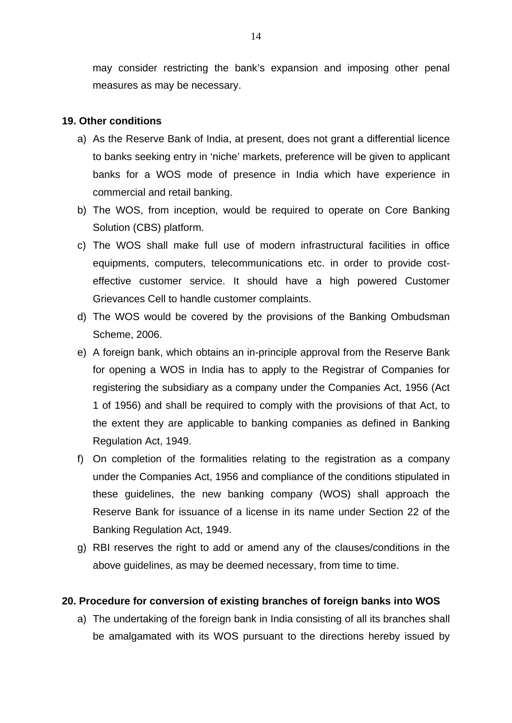may consider restricting the bank's expansion and imposing other penal measures as may be necessary.

# **19. Other conditions**

- a) As the Reserve Bank of India, at present, does not grant a differential licence to banks seeking entry in 'niche' markets, preference will be given to applicant banks for a WOS mode of presence in India which have experience in commercial and retail banking.
- b) The WOS, from inception, would be required to operate on Core Banking Solution (CBS) platform.
- c) The WOS shall make full use of modern infrastructural facilities in office equipments, computers, telecommunications etc. in order to provide costeffective customer service. It should have a high powered Customer Grievances Cell to handle customer complaints.
- d) The WOS would be covered by the provisions of the Banking Ombudsman Scheme, 2006.
- e) A foreign bank, which obtains an in-principle approval from the Reserve Bank for opening a WOS in India has to apply to the Registrar of Companies for registering the subsidiary as a company under the Companies Act, 1956 (Act 1 of 1956) and shall be required to comply with the provisions of that Act, to the extent they are applicable to banking companies as defined in Banking Regulation Act, 1949.
- f) On completion of the formalities relating to the registration as a company under the Companies Act, 1956 and compliance of the conditions stipulated in these guidelines, the new banking company (WOS) shall approach the Reserve Bank for issuance of a license in its name under Section 22 of the Banking Regulation Act, 1949.
- g) RBI reserves the right to add or amend any of the clauses/conditions in the above guidelines, as may be deemed necessary, from time to time.

#### **20. Procedure for conversion of existing branches of foreign banks into WOS**

a) The undertaking of the foreign bank in India consisting of all its branches shall be amalgamated with its WOS pursuant to the directions hereby issued by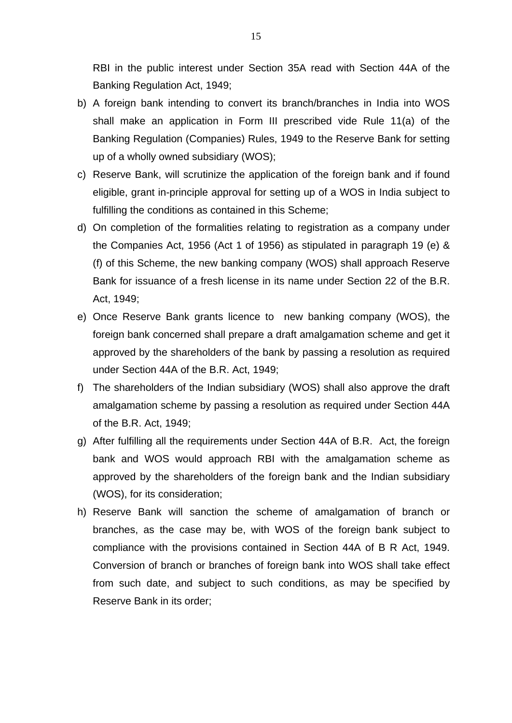RBI in the public interest under Section 35A read with Section 44A of the Banking Regulation Act, 1949;

- b) A foreign bank intending to convert its branch/branches in India into WOS shall make an application in Form III prescribed vide Rule 11(a) of the Banking Regulation (Companies) Rules, 1949 to the Reserve Bank for setting up of a wholly owned subsidiary (WOS);
- c) Reserve Bank, will scrutinize the application of the foreign bank and if found eligible, grant in-principle approval for setting up of a WOS in India subject to fulfilling the conditions as contained in this Scheme;
- d) On completion of the formalities relating to registration as a company under the Companies Act, 1956 (Act 1 of 1956) as stipulated in paragraph 19 (e) & (f) of this Scheme, the new banking company (WOS) shall approach Reserve Bank for issuance of a fresh license in its name under Section 22 of the B.R. Act, 1949;
- e) Once Reserve Bank grants licence to new banking company (WOS), the foreign bank concerned shall prepare a draft amalgamation scheme and get it approved by the shareholders of the bank by passing a resolution as required under Section 44A of the B.R. Act, 1949;
- f) The shareholders of the Indian subsidiary (WOS) shall also approve the draft amalgamation scheme by passing a resolution as required under Section 44A of the B.R. Act, 1949;
- g) After fulfilling all the requirements under Section 44A of B.R. Act, the foreign bank and WOS would approach RBI with the amalgamation scheme as approved by the shareholders of the foreign bank and the Indian subsidiary (WOS), for its consideration;
- h) Reserve Bank will sanction the scheme of amalgamation of branch or branches, as the case may be, with WOS of the foreign bank subject to compliance with the provisions contained in Section 44A of B R Act, 1949. Conversion of branch or branches of foreign bank into WOS shall take effect from such date, and subject to such conditions, as may be specified by Reserve Bank in its order;